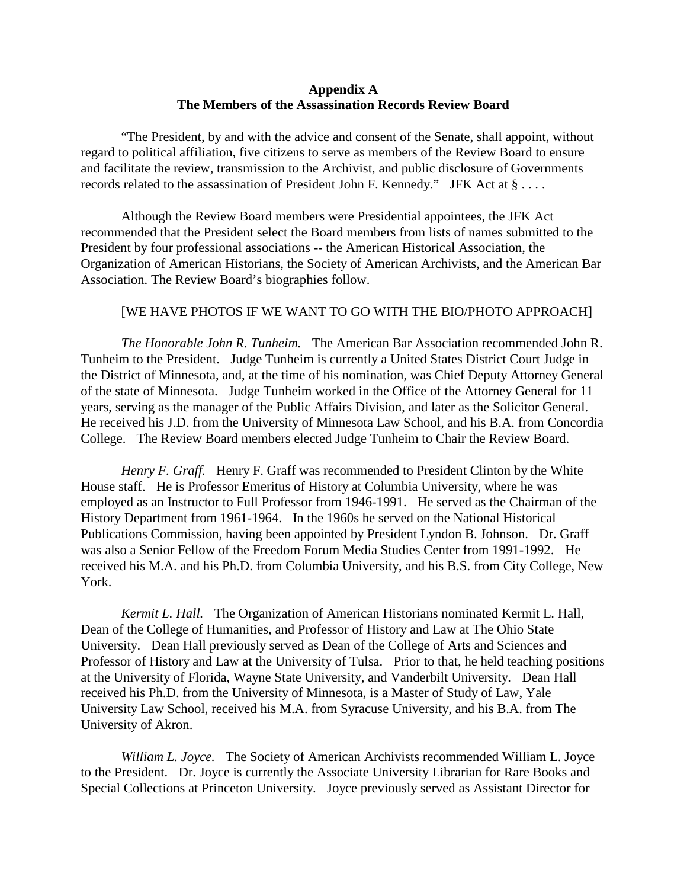## **Appendix A The Members of the Assassination Records Review Board**

"The President, by and with the advice and consent of the Senate, shall appoint, without regard to political affiliation, five citizens to serve as members of the Review Board to ensure and facilitate the review, transmission to the Archivist, and public disclosure of Governments records related to the assassination of President John F. Kennedy." JFK Act at § . . . .

Although the Review Board members were Presidential appointees, the JFK Act recommended that the President select the Board members from lists of names submitted to the President by four professional associations -- the American Historical Association, the Organization of American Historians, the Society of American Archivists, and the American Bar Association. The Review Board's biographies follow.

## [WE HAVE PHOTOS IF WE WANT TO GO WITH THE BIO/PHOTO APPROACH]

*The Honorable John R. Tunheim.* The American Bar Association recommended John R. Tunheim to the President. Judge Tunheim is currently a United States District Court Judge in the District of Minnesota, and, at the time of his nomination, was Chief Deputy Attorney General of the state of Minnesota. Judge Tunheim worked in the Office of the Attorney General for 11 years, serving as the manager of the Public Affairs Division, and later as the Solicitor General. He received his J.D. from the University of Minnesota Law School, and his B.A. from Concordia College. The Review Board members elected Judge Tunheim to Chair the Review Board.

*Henry F. Graff.* Henry F. Graff was recommended to President Clinton by the White House staff. He is Professor Emeritus of History at Columbia University, where he was employed as an Instructor to Full Professor from 1946-1991. He served as the Chairman of the History Department from 1961-1964. In the 1960s he served on the National Historical Publications Commission, having been appointed by President Lyndon B. Johnson. Dr. Graff was also a Senior Fellow of the Freedom Forum Media Studies Center from 1991-1992. He received his M.A. and his Ph.D. from Columbia University, and his B.S. from City College, New York.

*Kermit L. Hall.* The Organization of American Historians nominated Kermit L. Hall, Dean of the College of Humanities, and Professor of History and Law at The Ohio State University. Dean Hall previously served as Dean of the College of Arts and Sciences and Professor of History and Law at the University of Tulsa. Prior to that, he held teaching positions at the University of Florida, Wayne State University, and Vanderbilt University. Dean Hall received his Ph.D. from the University of Minnesota, is a Master of Study of Law, Yale University Law School, received his M.A. from Syracuse University, and his B.A. from The University of Akron.

*William L. Joyce.* The Society of American Archivists recommended William L. Joyce to the President. Dr. Joyce is currently the Associate University Librarian for Rare Books and Special Collections at Princeton University. Joyce previously served as Assistant Director for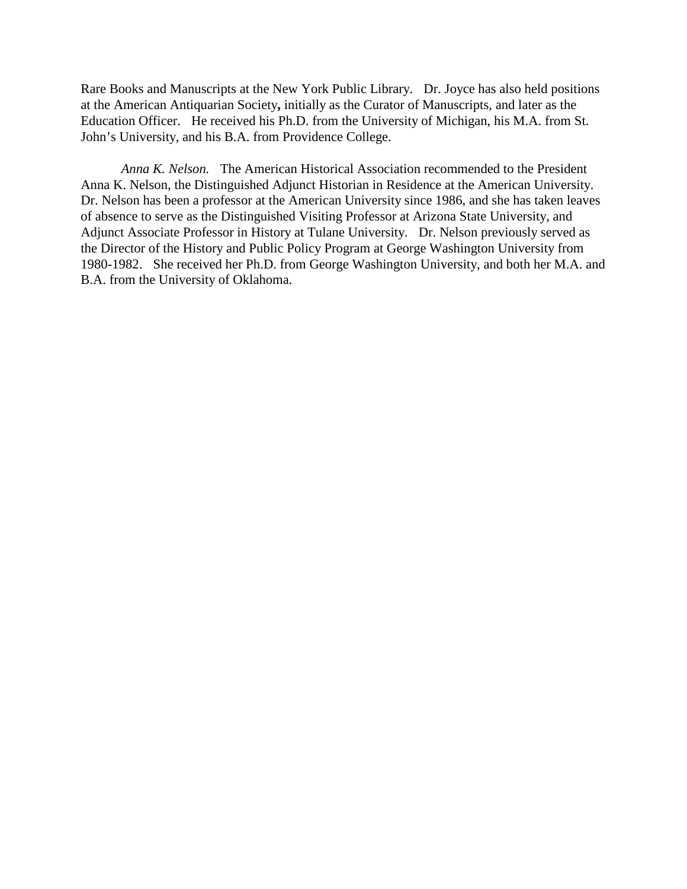Rare Books and Manuscripts at the New York Public Library. Dr. Joyce has also held positions at the American Antiquarian Society**,** initially as the Curator of Manuscripts, and later as the Education Officer. He received his Ph.D. from the University of Michigan, his M.A. from St. John's University, and his B.A. from Providence College.

*Anna K. Nelson.* The American Historical Association recommended to the President Anna K. Nelson, the Distinguished Adjunct Historian in Residence at the American University. Dr. Nelson has been a professor at the American University since 1986, and she has taken leaves of absence to serve as the Distinguished Visiting Professor at Arizona State University, and Adjunct Associate Professor in History at Tulane University. Dr. Nelson previously served as the Director of the History and Public Policy Program at George Washington University from 1980-1982. She received her Ph.D. from George Washington University, and both her M.A. and B.A. from the University of Oklahoma.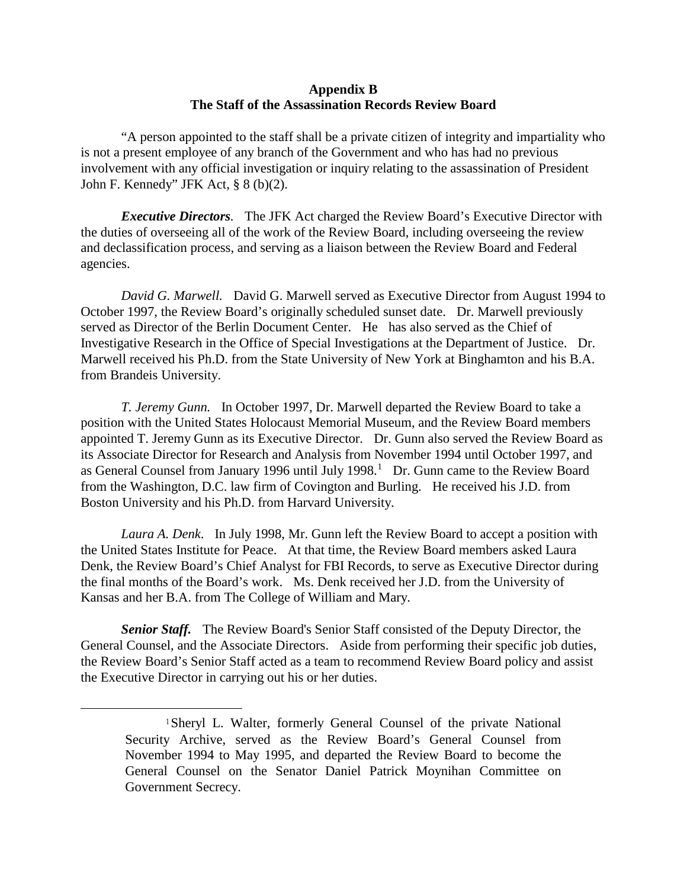## **Appendix B The Staff of the Assassination Records Review Board**

"A person appointed to the staff shall be a private citizen of integrity and impartiality who is not a present employee of any branch of the Government and who has had no previous involvement with any official investigation or inquiry relating to the assassination of President John F. Kennedy" JFK Act, § 8 (b)(2).

*Executive Directors.* The JFK Act charged the Review Board's Executive Director with the duties of overseeing all of the work of the Review Board, including overseeing the review and declassification process, and serving as a liaison between the Review Board and Federal agencies.

*David G. Marwell.* David G. Marwell served as Executive Director from August 1994 to October 1997, the Review Board's originally scheduled sunset date. Dr. Marwell previously served as Director of the Berlin Document Center. He has also served as the Chief of Investigative Research in the Office of Special Investigations at the Department of Justice. Dr. Marwell received his Ph.D. from the State University of New York at Binghamton and his B.A. from Brandeis University.

*T. Jeremy Gunn.* In October 1997, Dr. Marwell departed the Review Board to take a position with the United States Holocaust Memorial Museum, and the Review Board members appointed T. Jeremy Gunn as its Executive Director. Dr. Gunn also served the Review Board as its Associate Director for Research and Analysis from November 1994 until October 1997, and as General Counsel from January [1](#page-2-0)996 until July 1998.<sup>1</sup> Dr. Gunn came to the Review Board from the Washington, D.C. law firm of Covington and Burling. He received his J.D. from Boston University and his Ph.D. from Harvard University.

*Laura A. Denk*. In July 1998, Mr. Gunn left the Review Board to accept a position with the United States Institute for Peace. At that time, the Review Board members asked Laura Denk, the Review Board's Chief Analyst for FBI Records, to serve as Executive Director during the final months of the Board's work. Ms. Denk received her J.D. from the University of Kansas and her B.A. from The College of William and Mary.

<span id="page-2-0"></span>*Senior Staff.* The Review Board's Senior Staff consisted of the Deputy Director, the General Counsel, and the Associate Directors. Aside from performing their specific job duties, the Review Board's Senior Staff acted as a team to recommend Review Board policy and assist the Executive Director in carrying out his or her duties.

<sup>1</sup>Sheryl L. Walter, formerly General Counsel of the private National Security Archive, served as the Review Board's General Counsel from November 1994 to May 1995, and departed the Review Board to become the General Counsel on the Senator Daniel Patrick Moynihan Committee on Government Secrecy.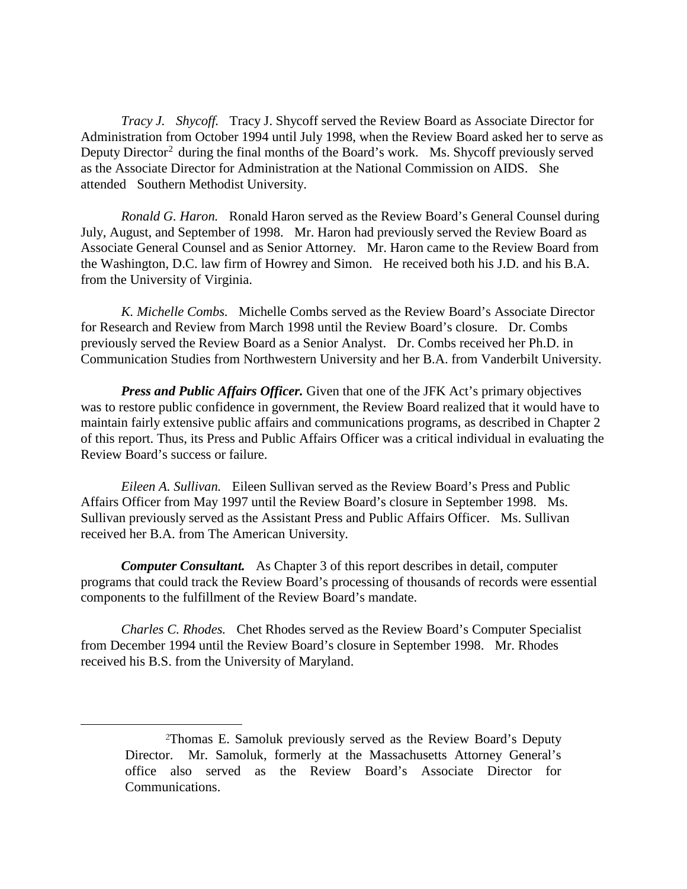*Tracy J. Shycoff.* Tracy J. Shycoff served the Review Board as Associate Director for Administration from October 1994 until July 1998, when the Review Board asked her to serve as Deputy Director<sup>[2](#page-3-0)</sup> during the final months of the Board's work. Ms. Shycoff previously served as the Associate Director for Administration at the National Commission on AIDS. She attended Southern Methodist University.

*Ronald G. Haron.* Ronald Haron served as the Review Board's General Counsel during July, August, and September of 1998. Mr. Haron had previously served the Review Board as Associate General Counsel and as Senior Attorney. Mr. Haron came to the Review Board from the Washington, D.C. law firm of Howrey and Simon. He received both his J.D. and his B.A. from the University of Virginia.

*K. Michelle Combs.* Michelle Combs served as the Review Board's Associate Director for Research and Review from March 1998 until the Review Board's closure. Dr. Combs previously served the Review Board as a Senior Analyst. Dr. Combs received her Ph.D. in Communication Studies from Northwestern University and her B.A. from Vanderbilt University.

*Press and Public Affairs Officer.* Given that one of the JFK Act's primary objectives was to restore public confidence in government, the Review Board realized that it would have to maintain fairly extensive public affairs and communications programs, as described in Chapter 2 of this report. Thus, its Press and Public Affairs Officer was a critical individual in evaluating the Review Board's success or failure.

*Eileen A. Sullivan.* Eileen Sullivan served as the Review Board's Press and Public Affairs Officer from May 1997 until the Review Board's closure in September 1998. Ms. Sullivan previously served as the Assistant Press and Public Affairs Officer. Ms. Sullivan received her B.A. from The American University.

*Computer Consultant.* As Chapter 3 of this report describes in detail, computer programs that could track the Review Board's processing of thousands of records were essential components to the fulfillment of the Review Board's mandate.

*Charles C. Rhodes.* Chet Rhodes served as the Review Board's Computer Specialist from December 1994 until the Review Board's closure in September 1998. Mr. Rhodes received his B.S. from the University of Maryland.

<span id="page-3-0"></span><sup>2</sup>Thomas E. Samoluk previously served as the Review Board's Deputy Director. Mr. Samoluk, formerly at the Massachusetts Attorney General's office also served as the Review Board's Associate Director for Communications.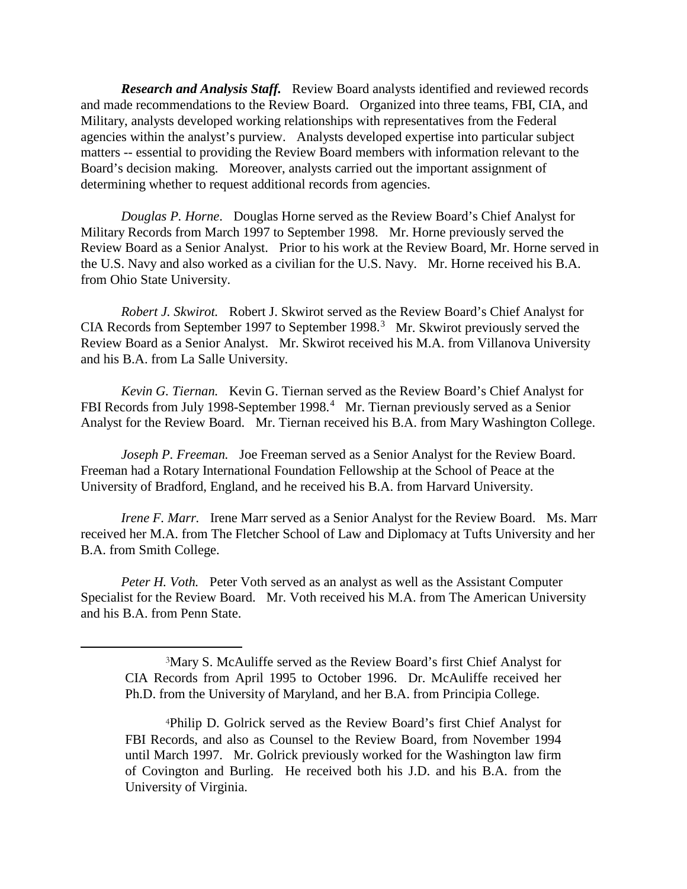*Research and Analysis Staff.* Review Board analysts identified and reviewed records and made recommendations to the Review Board. Organized into three teams, FBI, CIA, and Military, analysts developed working relationships with representatives from the Federal agencies within the analyst's purview. Analysts developed expertise into particular subject matters -- essential to providing the Review Board members with information relevant to the Board's decision making. Moreover, analysts carried out the important assignment of determining whether to request additional records from agencies.

*Douglas P. Horne*. Douglas Horne served as the Review Board's Chief Analyst for Military Records from March 1997 to September 1998. Mr. Horne previously served the Review Board as a Senior Analyst. Prior to his work at the Review Board, Mr. Horne served in the U.S. Navy and also worked as a civilian for the U.S. Navy. Mr. Horne received his B.A. from Ohio State University.

*Robert J. Skwirot.* Robert J. Skwirot served as the Review Board's Chief Analyst for CIA Records from September 1997 to September 1998.<sup>[3](#page-4-0)</sup> Mr. Skwirot previously served the Review Board as a Senior Analyst. Mr. Skwirot received his M.A. from Villanova University and his B.A. from La Salle University.

*Kevin G. Tiernan.* Kevin G. Tiernan served as the Review Board's Chief Analyst for FBI Records from July 1998-September 1998.<sup>[4](#page-4-1)</sup> Mr. Tiernan previously served as a Senior Analyst for the Review Board. Mr. Tiernan received his B.A. from Mary Washington College.

*Joseph P. Freeman.* Joe Freeman served as a Senior Analyst for the Review Board. Freeman had a Rotary International Foundation Fellowship at the School of Peace at the University of Bradford, England, and he received his B.A. from Harvard University.

*Irene F. Marr.* Irene Marr served as a Senior Analyst for the Review Board. Ms. Marr received her M.A. from The Fletcher School of Law and Diplomacy at Tufts University and her B.A. from Smith College.

<span id="page-4-0"></span>*Peter H. Voth.* Peter Voth served as an analyst as well as the Assistant Computer Specialist for the Review Board. Mr. Voth received his M.A. from The American University and his B.A. from Penn State.

<sup>3</sup>Mary S. McAuliffe served as the Review Board's first Chief Analyst for CIA Records from April 1995 to October 1996. Dr. McAuliffe received her Ph.D. from the University of Maryland, and her B.A. from Principia College.

<span id="page-4-1"></span><sup>4</sup>Philip D. Golrick served as the Review Board's first Chief Analyst for FBI Records, and also as Counsel to the Review Board, from November 1994 until March 1997. Mr. Golrick previously worked for the Washington law firm of Covington and Burling. He received both his J.D. and his B.A. from the University of Virginia.